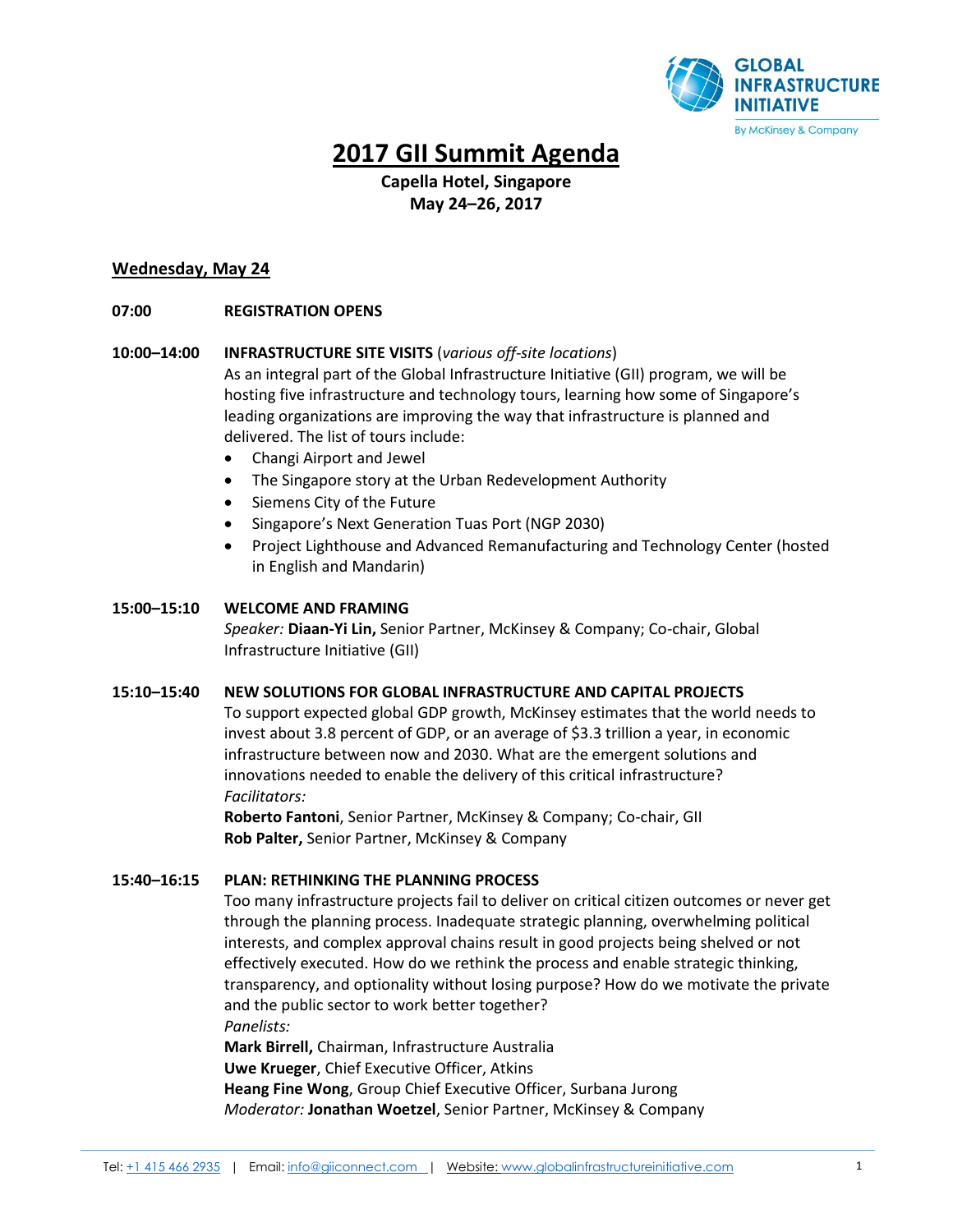

# **2017 GII Summit Agenda**

# **Capella Hotel, Singapore May 24–26, 2017**

# **Wednesday, May 24**

# **07:00 REGISTRATION OPENS**

# **10:00–14:00 INFRASTRUCTURE SITE VISITS** (*various off-site locations*)

As an integral part of the Global Infrastructure Initiative (GII) program, we will be hosting five infrastructure and technology tours, learning how some of Singapore's leading organizations are improving the way that infrastructure is planned and delivered. The list of tours include:

- Changi Airport and Jewel
- The Singapore story at the Urban Redevelopment Authority
- Siemens City of the Future
- Singapore's Next Generation Tuas Port (NGP 2030)
- Project Lighthouse and Advanced Remanufacturing and Technology Center (hosted in English and Mandarin)

# **15:00–15:10 WELCOME AND FRAMING**

*Speaker:* **Diaan-Yi Lin,** Senior Partner, McKinsey & Company; Co-chair, Global Infrastructure Initiative (GII)

# **15:10–15:40 NEW SOLUTIONS FOR GLOBAL INFRASTRUCTURE AND CAPITAL PROJECTS**

To support expected global GDP growth, McKinsey estimates that the world needs to invest about 3.8 percent of GDP, or an average of \$3.3 trillion a year, in economic infrastructure between now and 2030. What are the emergent solutions and innovations needed to enable the delivery of this critical infrastructure? *Facilitators:* 

**Roberto Fantoni**, Senior Partner, McKinsey & Company; Co-chair, GII **Rob Palter,** Senior Partner, McKinsey & Company

# **15:40–16:15 PLAN: RETHINKING THE PLANNING PROCESS**

Too many infrastructure projects fail to deliver on critical citizen outcomes or never get through the planning process. Inadequate strategic planning, overwhelming political interests, and complex approval chains result in good projects being shelved or not effectively executed. How do we rethink the process and enable strategic thinking, transparency, and optionality without losing purpose? How do we motivate the private and the public sector to work better together? *Panelists:*

**Mark Birrell,** Chairman, Infrastructure Australia **Uwe Krueger**, Chief Executive Officer, Atkins **Heang Fine Wong**, Group Chief Executive Officer, Surbana Jurong *Moderator:* **Jonathan Woetzel**, Senior Partner, McKinsey & Company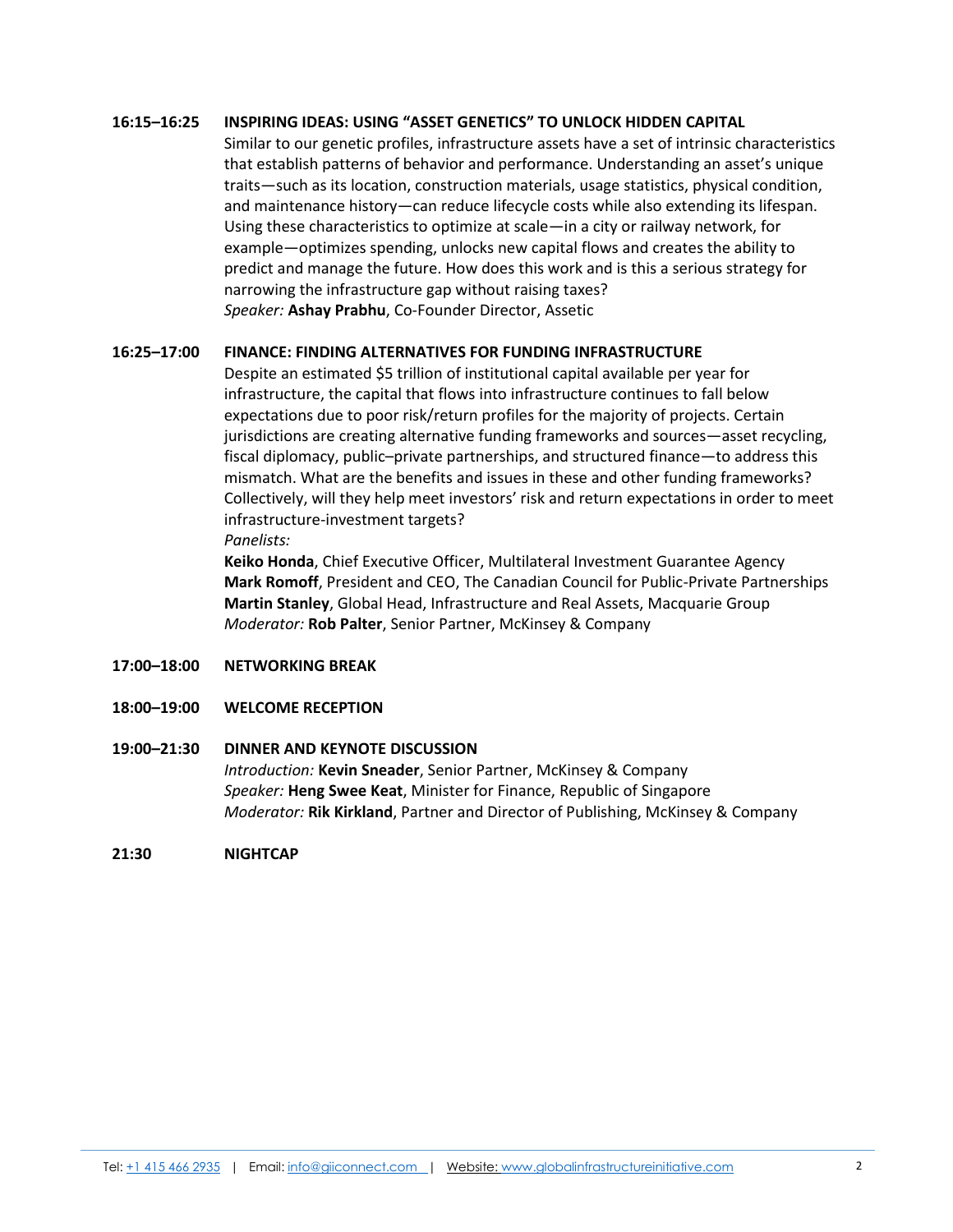# **16:15–16:25 INSPIRING IDEAS: USING "ASSET GENETICS" TO UNLOCK HIDDEN CAPITAL**

Similar to our genetic profiles, infrastructure assets have a set of intrinsic characteristics that establish patterns of behavior and performance. Understanding an asset's unique traits—such as its location, construction materials, usage statistics, physical condition, and maintenance history—can reduce lifecycle costs while also extending its lifespan. Using these characteristics to optimize at scale—in a city or railway network, for example—optimizes spending, unlocks new capital flows and creates the ability to predict and manage the future. How does this work and is this a serious strategy for narrowing the infrastructure gap without raising taxes? *Speaker:* **Ashay Prabhu**, Co-Founder Director, Assetic

# **16:25–17:00 FINANCE: FINDING ALTERNATIVES FOR FUNDING INFRASTRUCTURE**

Despite an estimated \$5 trillion of institutional capital available per year for infrastructure, the capital that flows into infrastructure continues to fall below expectations due to poor risk/return profiles for the majority of projects. Certain jurisdictions are creating alternative funding frameworks and sources—asset recycling, fiscal diplomacy, public–private partnerships, and structured finance—to address this mismatch. What are the benefits and issues in these and other funding frameworks? Collectively, will they help meet investors' risk and return expectations in order to meet infrastructure-investment targets? *Panelists:*

**Keiko Honda**, Chief Executive Officer, Multilateral Investment Guarantee Agency

**Mark Romoff**, President and CEO, The Canadian Council for Public-Private Partnerships **Martin Stanley**, Global Head, Infrastructure and Real Assets, Macquarie Group *Moderator:* **Rob Palter**, Senior Partner, McKinsey & Company

## **17:00–18:00 NETWORKING BREAK**

**18:00–19:00 WELCOME RECEPTION**

## **19:00–21:30 DINNER AND KEYNOTE DISCUSSION**

*Introduction:* **Kevin Sneader**, Senior Partner, McKinsey & Company *Speaker:* **Heng Swee Keat**, Minister for Finance, Republic of Singapore *Moderator:* **Rik Kirkland**, Partner and Director of Publishing, McKinsey & Company

**21:30 NIGHTCAP**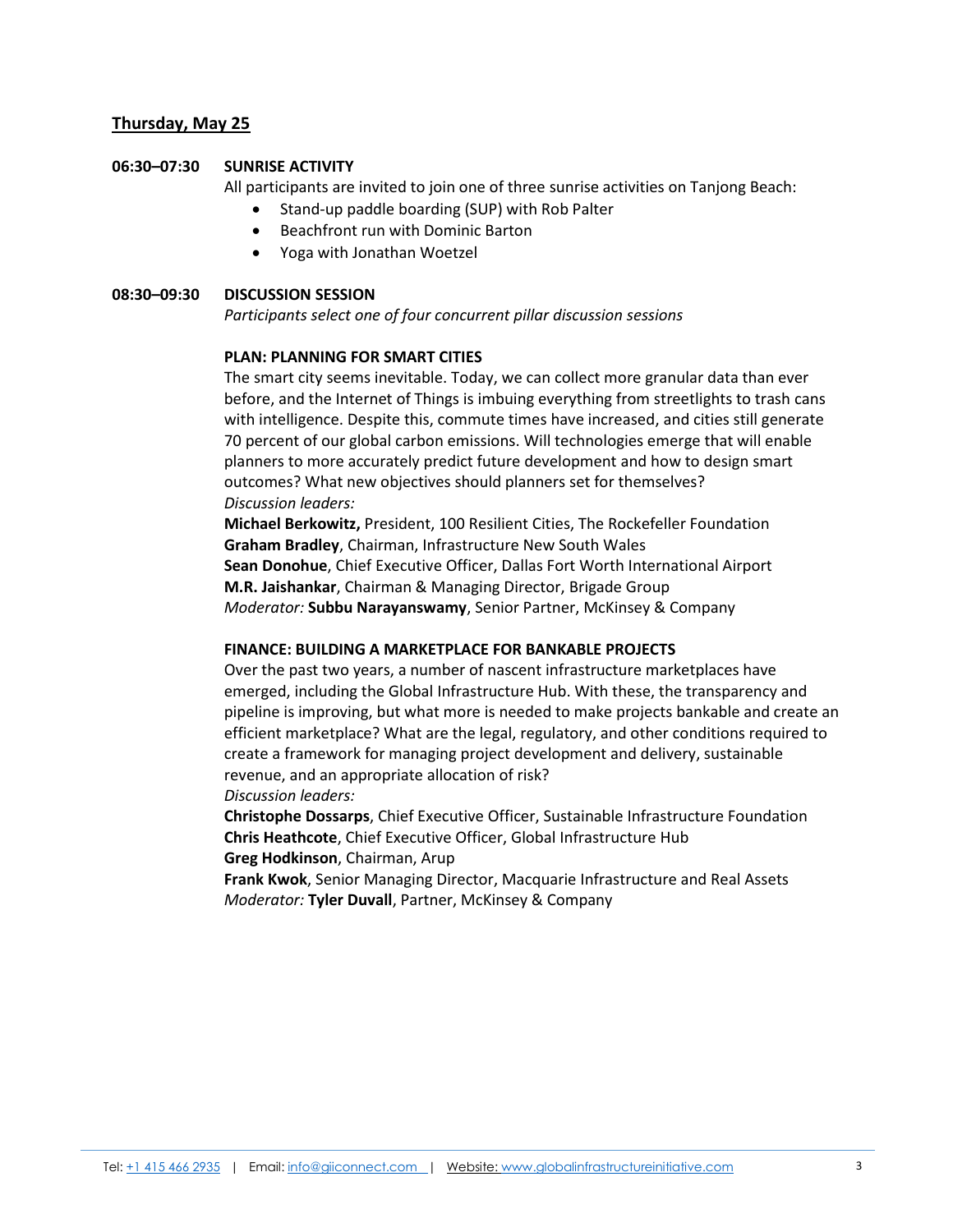# **Thursday, May 25**

#### **06:30–07:30 SUNRISE ACTIVITY**

All participants are invited to join one of three sunrise activities on Tanjong Beach:

- Stand-up paddle boarding (SUP) with Rob Palter
- Beachfront run with Dominic Barton
- Yoga with Jonathan Woetzel

#### **08:30–09:30 DISCUSSION SESSION**

*Participants select one of four concurrent pillar discussion sessions*

#### **PLAN: PLANNING FOR SMART CITIES**

The smart city seems inevitable. Today, we can collect more granular data than ever before, and the Internet of Things is imbuing everything from streetlights to trash cans with intelligence. Despite this, commute times have increased, and cities still generate 70 percent of our global carbon emissions. Will technologies emerge that will enable planners to more accurately predict future development and how to design smart outcomes? What new objectives should planners set for themselves? *Discussion leaders:*

**Michael Berkowitz,** President, 100 Resilient Cities, The Rockefeller Foundation **Graham Bradley**, Chairman, Infrastructure New South Wales **Sean Donohue**, Chief Executive Officer, Dallas Fort Worth International Airport **M.R. Jaishankar**, Chairman & Managing Director, Brigade Group *Moderator:* **Subbu Narayanswamy**, Senior Partner, McKinsey & Company

#### **FINANCE: BUILDING A MARKETPLACE FOR BANKABLE PROJECTS**

Over the past two years, a number of nascent infrastructure marketplaces have emerged, including the Global Infrastructure Hub. With these, the transparency and pipeline is improving, but what more is needed to make projects bankable and create an efficient marketplace? What are the legal, regulatory, and other conditions required to create a framework for managing project development and delivery, sustainable revenue, and an appropriate allocation of risk? *Discussion leaders:*

**Christophe Dossarps**, Chief Executive Officer, Sustainable Infrastructure Foundation **Chris Heathcote**, Chief Executive Officer, Global Infrastructure Hub **Greg Hodkinson**, Chairman, Arup

**Frank Kwok**, Senior Managing Director, Macquarie Infrastructure and Real Assets *Moderator:* **Tyler Duvall**, Partner, McKinsey & Company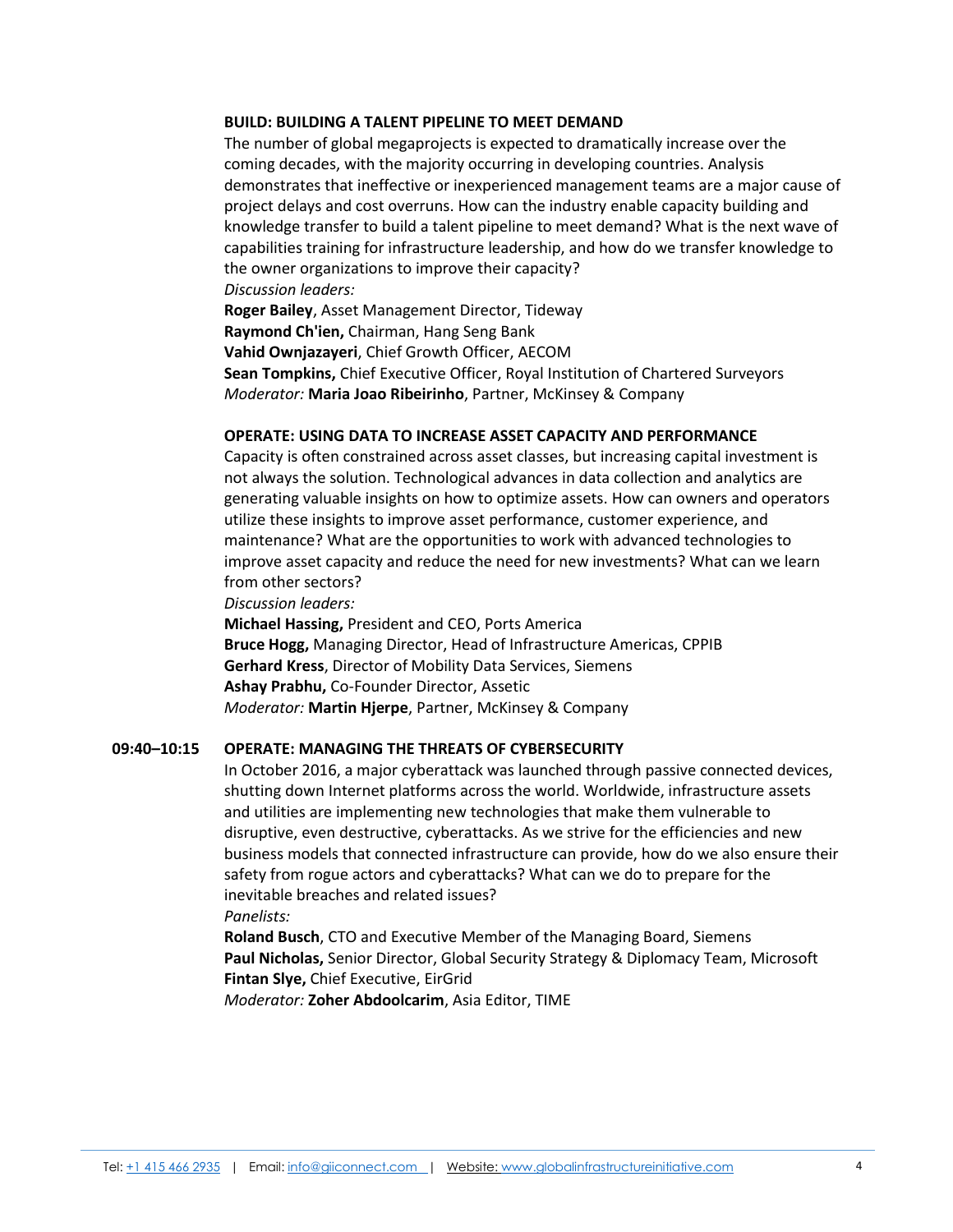#### **BUILD: BUILDING A TALENT PIPELINE TO MEET DEMAND**

The number of global megaprojects is expected to dramatically increase over the coming decades, with the majority occurring in developing countries. Analysis demonstrates that ineffective or inexperienced management teams are a major cause of project delays and cost overruns. How can the industry enable capacity building and knowledge transfer to build a talent pipeline to meet demand? What is the next wave of capabilities training for infrastructure leadership, and how do we transfer knowledge to the owner organizations to improve their capacity? *Discussion leaders:*

**Roger Bailey**, Asset Management Director, Tideway

**Raymond Ch'ien,** Chairman, Hang Seng Bank

**Vahid Ownjazayeri**, Chief Growth Officer, AECOM

**Sean Tompkins,** Chief Executive Officer, Royal Institution of Chartered Surveyors *Moderator:* **Maria Joao Ribeirinho**, Partner, McKinsey & Company

## **OPERATE: USING DATA TO INCREASE ASSET CAPACITY AND PERFORMANCE**

Capacity is often constrained across asset classes, but increasing capital investment is not always the solution. Technological advances in data collection and analytics are generating valuable insights on how to optimize assets. How can owners and operators utilize these insights to improve asset performance, customer experience, and maintenance? What are the opportunities to work with advanced technologies to improve asset capacity and reduce the need for new investments? What can we learn from other sectors?

*Discussion leaders:*

**Michael Hassing,** President and CEO, Ports America **Bruce Hogg,** Managing Director, Head of Infrastructure Americas, CPPIB **Gerhard Kress**, Director of Mobility Data Services, Siemens **Ashay Prabhu,** Co-Founder Director, Assetic *Moderator:* **Martin Hjerpe**, Partner, McKinsey & Company

## **09:40–10:15 OPERATE: MANAGING THE THREATS OF CYBERSECURITY**

In October 2016, a major cyberattack was launched through passive connected devices, shutting down Internet platforms across the world. Worldwide, infrastructure assets and utilities are implementing new technologies that make them vulnerable to disruptive, even destructive, cyberattacks. As we strive for the efficiencies and new business models that connected infrastructure can provide, how do we also ensure their safety from rogue actors and cyberattacks? What can we do to prepare for the inevitable breaches and related issues?

## *Panelists:*

**Roland Busch**, CTO and Executive Member of the Managing Board, Siemens **Paul Nicholas,** Senior Director, Global Security Strategy & Diplomacy Team, Microsoft **Fintan Slye,** Chief Executive, EirGrid

*Moderator:* **Zoher Abdoolcarim**, Asia Editor, TIME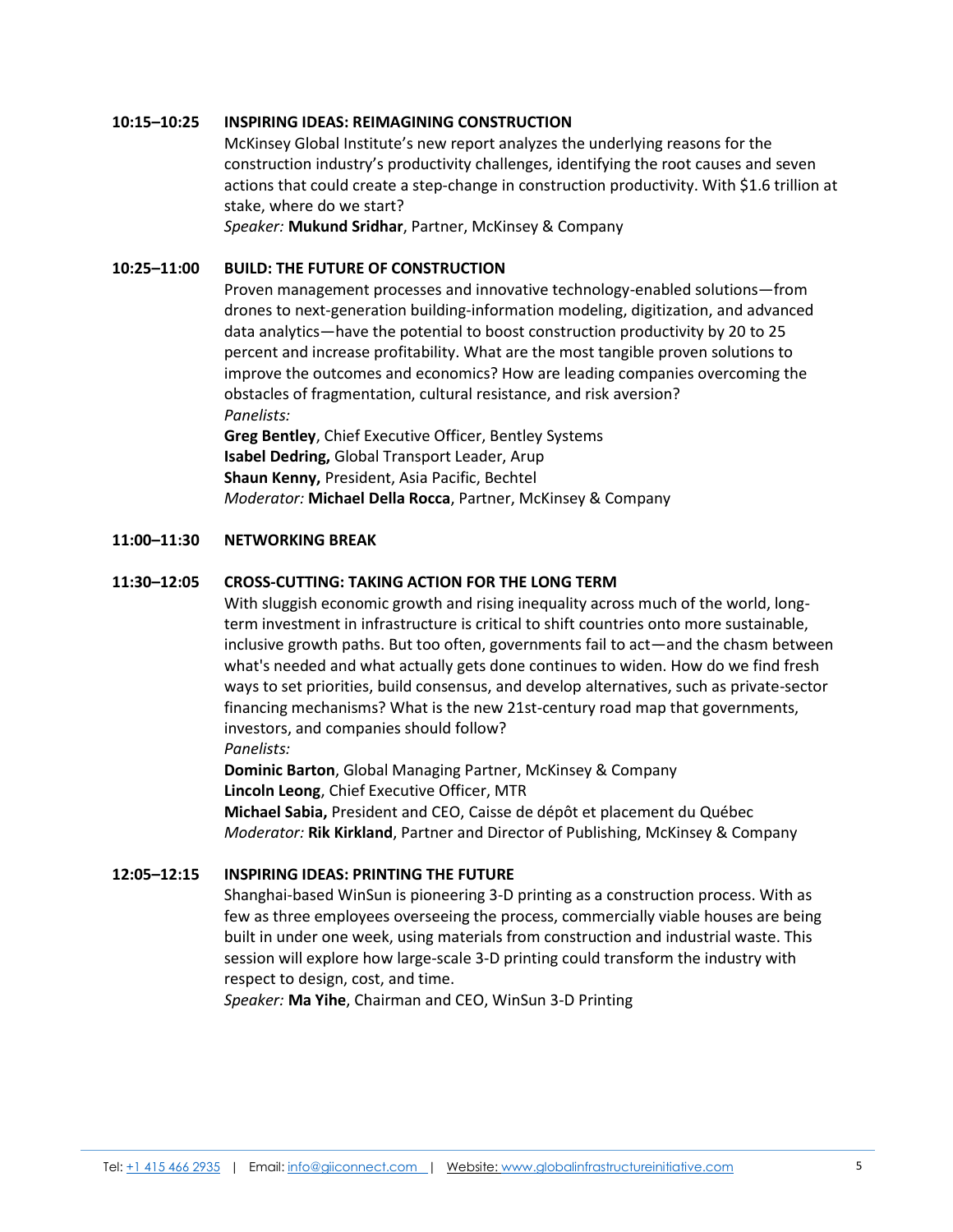#### **10:15–10:25 INSPIRING IDEAS: REIMAGINING CONSTRUCTION**

McKinsey Global Institute's new report analyzes the underlying reasons for the construction industry's productivity challenges, identifying the root causes and seven actions that could create a step-change in construction productivity. With \$1.6 trillion at stake, where do we start?

*Speaker:* **Mukund Sridhar**, Partner, McKinsey & Company

# **10:25–11:00 BUILD: THE FUTURE OF CONSTRUCTION**

Proven management processes and innovative technology-enabled solutions—from drones to next-generation building-information modeling, digitization, and advanced data analytics—have the potential to boost construction productivity by 20 to 25 percent and increase profitability. What are the most tangible proven solutions to improve the outcomes and economics? How are leading companies overcoming the obstacles of fragmentation, cultural resistance, and risk aversion? *Panelists:*

**Greg Bentley**, Chief Executive Officer, Bentley Systems **Isabel Dedring,** Global Transport Leader, Arup **Shaun Kenny,** President, Asia Pacific, Bechtel *Moderator:* **Michael Della Rocca**, Partner, McKinsey & Company

#### **11:00–11:30 NETWORKING BREAK**

#### **11:30–12:05 CROSS-CUTTING: TAKING ACTION FOR THE LONG TERM**

With sluggish economic growth and rising inequality across much of the world, longterm investment in infrastructure is critical to shift countries onto more sustainable, inclusive growth paths. But too often, governments fail to act—and the chasm between what's needed and what actually gets done continues to widen. How do we find fresh ways to set priorities, build consensus, and develop alternatives, such as private-sector financing mechanisms? What is the new 21st-century road map that governments, investors, and companies should follow?

#### *Panelists:*

**Dominic Barton**, Global Managing Partner, McKinsey & Company **Lincoln Leong**, Chief Executive Officer, MTR **Michael Sabia,** President and CEO, Caisse de dépôt et placement du Québec

*Moderator:* **Rik Kirkland**, Partner and Director of Publishing, McKinsey & Company

#### **12:05–12:15 INSPIRING IDEAS: PRINTING THE FUTURE**

Shanghai-based WinSun is pioneering 3-D printing as a construction process. With as few as three employees overseeing the process, commercially viable houses are being built in under one week, using materials from construction and industrial waste. This session will explore how large-scale 3-D printing could transform the industry with respect to design, cost, and time.

*Speaker:* **Ma Yihe**, Chairman and CEO, WinSun 3-D Printing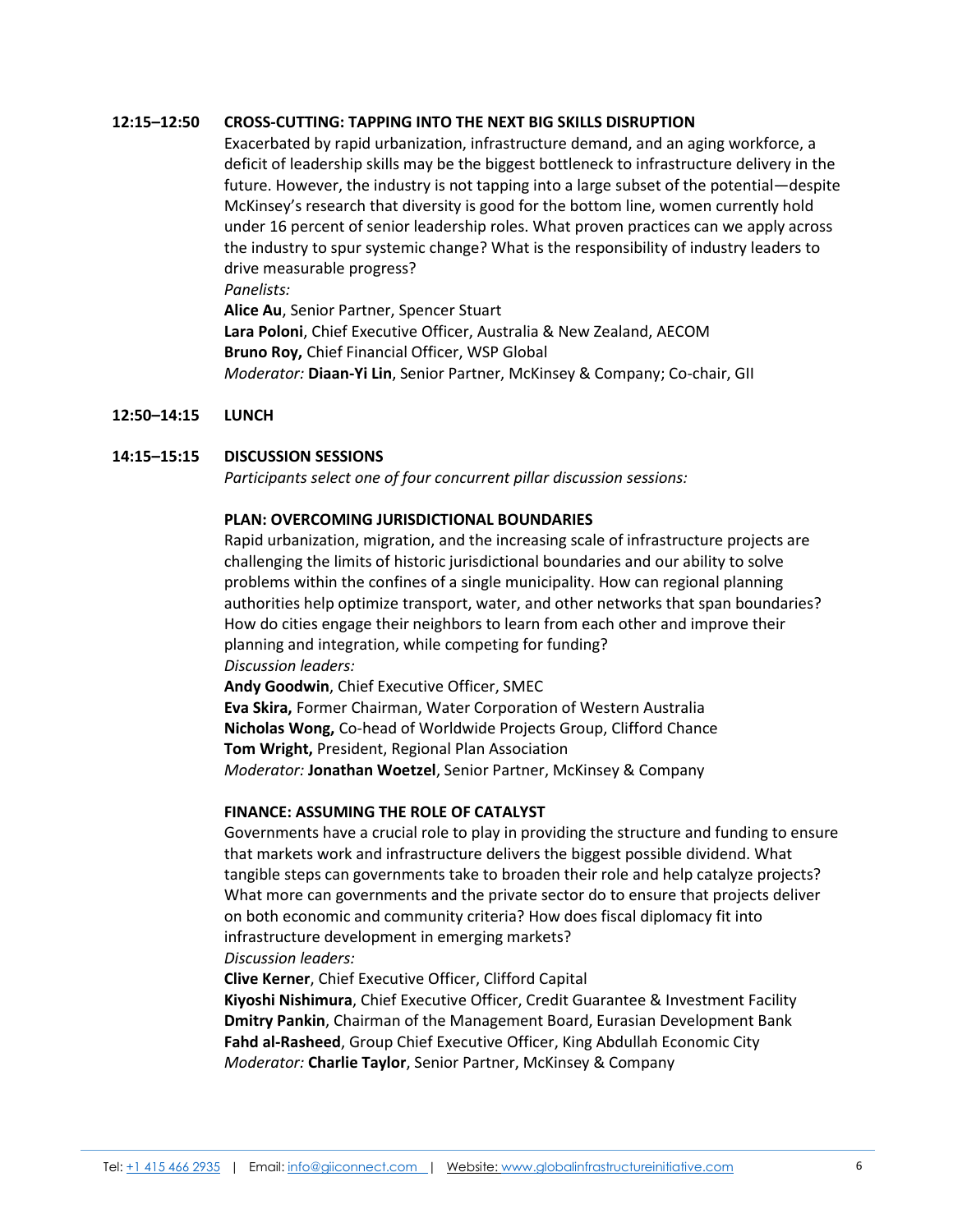## **12:15–12:50 CROSS-CUTTING: TAPPING INTO THE NEXT BIG SKILLS DISRUPTION**

Exacerbated by rapid urbanization, infrastructure demand, and an aging workforce, a deficit of leadership skills may be the biggest bottleneck to infrastructure delivery in the future. However, the industry is not tapping into a large subset of the potential—despite McKinsey's research that diversity is good for the bottom line, women currently hold under 16 percent of senior leadership roles. What proven practices can we apply across the industry to spur systemic change? What is the responsibility of industry leaders to drive measurable progress?

*Panelists:*

**Alice Au**, Senior Partner, Spencer Stuart **Lara Poloni**, Chief Executive Officer, Australia & New Zealand, AECOM **Bruno Roy,** Chief Financial Officer, WSP Global *Moderator:* **Diaan-Yi Lin**, Senior Partner, McKinsey & Company; Co-chair, GII

## **12:50–14:15 LUNCH**

# **14:15–15:15 DISCUSSION SESSIONS**

*Participants select one of four concurrent pillar discussion sessions:*

## **PLAN: OVERCOMING JURISDICTIONAL BOUNDARIES**

Rapid urbanization, migration, and the increasing scale of infrastructure projects are challenging the limits of historic jurisdictional boundaries and our ability to solve problems within the confines of a single municipality. How can regional planning authorities help optimize transport, water, and other networks that span boundaries? How do cities engage their neighbors to learn from each other and improve their planning and integration, while competing for funding? *Discussion leaders:*

**Andy Goodwin**, Chief Executive Officer, SMEC **Eva Skira,** Former Chairman, Water Corporation of Western Australia **Nicholas Wong,** Co-head of Worldwide Projects Group, Clifford Chance **Tom Wright,** President, Regional Plan Association *Moderator:* **Jonathan Woetzel**, Senior Partner, McKinsey & Company

## **FINANCE: ASSUMING THE ROLE OF CATALYST**

Governments have a crucial role to play in providing the structure and funding to ensure that markets work and infrastructure delivers the biggest possible dividend. What tangible steps can governments take to broaden their role and help catalyze projects? What more can governments and the private sector do to ensure that projects deliver on both economic and community criteria? How does fiscal diplomacy fit into infrastructure development in emerging markets?

# *Discussion leaders:*

**Clive Kerner**, Chief Executive Officer, Clifford Capital

**Kiyoshi Nishimura**, Chief Executive Officer, Credit Guarantee & Investment Facility **Dmitry Pankin**, Chairman of the Management Board, Eurasian Development Bank **Fahd al-Rasheed**, Group Chief Executive Officer, King Abdullah Economic City *Moderator:* **Charlie Taylor**, Senior Partner, McKinsey & Company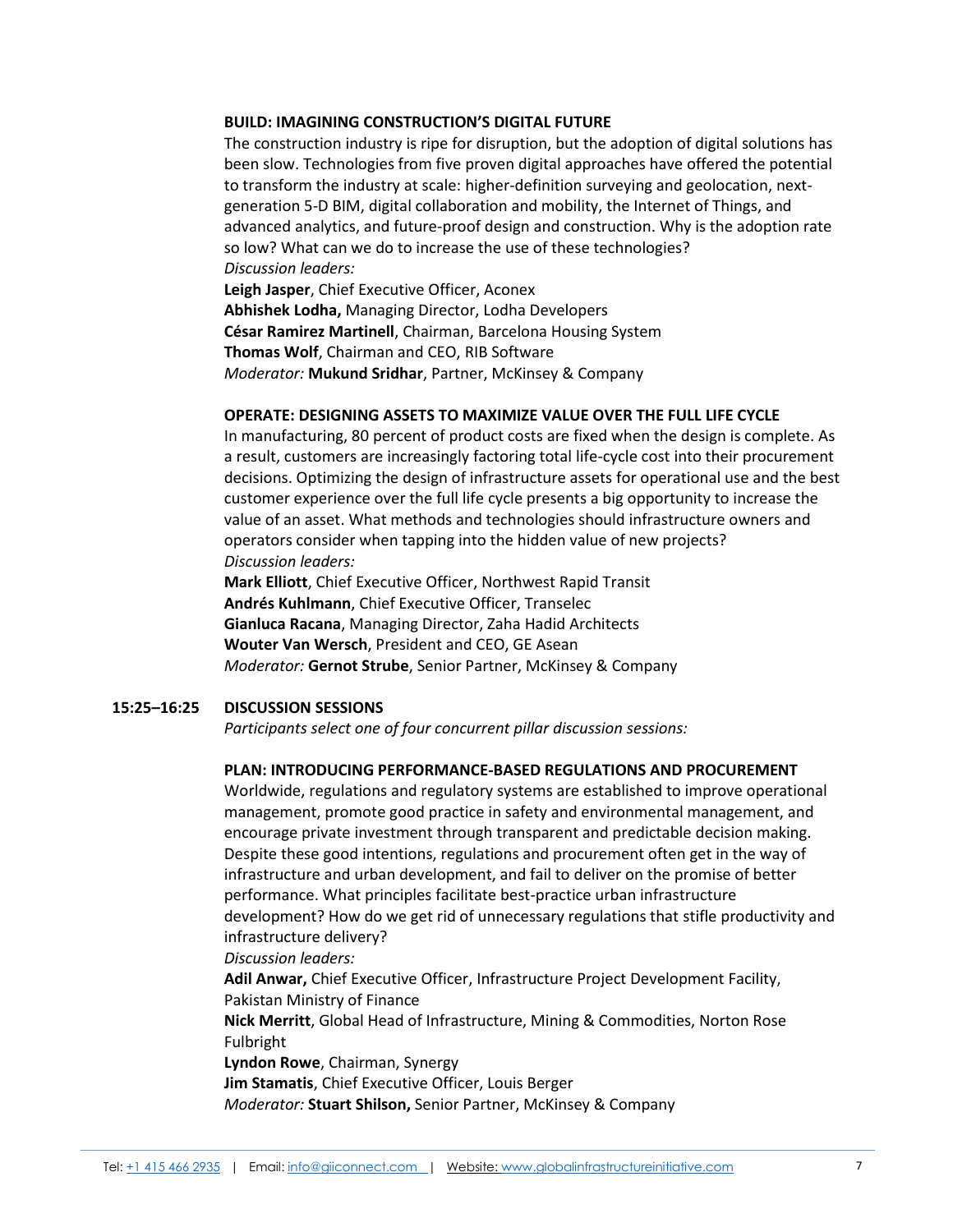#### **BUILD: IMAGINING CONSTRUCTION'S DIGITAL FUTURE**

The construction industry is ripe for disruption, but the adoption of digital solutions has been slow. Technologies from five proven digital approaches have offered the potential to transform the industry at scale: higher-definition surveying and geolocation, nextgeneration 5-D BIM, digital collaboration and mobility, the Internet of Things, and advanced analytics, and future-proof design and construction. Why is the adoption rate so low? What can we do to increase the use of these technologies? *Discussion leaders:*

**Leigh Jasper**, Chief Executive Officer, Aconex **Abhishek Lodha,** Managing Director, Lodha Developers **César Ramirez Martinell**, Chairman, Barcelona Housing System **Thomas Wolf**, Chairman and CEO, RIB Software *Moderator:* **Mukund Sridhar**, Partner, McKinsey & Company

#### **OPERATE: DESIGNING ASSETS TO MAXIMIZE VALUE OVER THE FULL LIFE CYCLE**

In manufacturing, 80 percent of product costs are fixed when the design is complete. As a result, customers are increasingly factoring total life-cycle cost into their procurement decisions. Optimizing the design of infrastructure assets for operational use and the best customer experience over the full life cycle presents a big opportunity to increase the value of an asset. What methods and technologies should infrastructure owners and operators consider when tapping into the hidden value of new projects? *Discussion leaders:*

**Mark Elliott**, Chief Executive Officer, Northwest Rapid Transit **Andrés Kuhlmann**, Chief Executive Officer, Transelec **Gianluca Racana**, Managing Director, Zaha Hadid Architects **Wouter Van Wersch**, President and CEO, GE Asean *Moderator:* **Gernot Strube**, Senior Partner, McKinsey & Company

#### **15:25–16:25 DISCUSSION SESSIONS**

*Participants select one of four concurrent pillar discussion sessions:*

#### **PLAN: INTRODUCING PERFORMANCE-BASED REGULATIONS AND PROCUREMENT**

Worldwide, regulations and regulatory systems are established to improve operational management, promote good practice in safety and environmental management, and encourage private investment through transparent and predictable decision making. Despite these good intentions, regulations and procurement often get in the way of infrastructure and urban development, and fail to deliver on the promise of better performance. What principles facilitate best-practice urban infrastructure development? How do we get rid of unnecessary regulations that stifle productivity and infrastructure delivery?

# *Discussion leaders:*

**Adil Anwar,** Chief Executive Officer, Infrastructure Project Development Facility, Pakistan Ministry of Finance

**Nick Merritt**, Global Head of Infrastructure, Mining & Commodities, Norton Rose Fulbright

**Lyndon Rowe**, Chairman, Synergy

**Jim Stamatis**, Chief Executive Officer, Louis Berger

*Moderator:* **Stuart Shilson,** Senior Partner, McKinsey & Company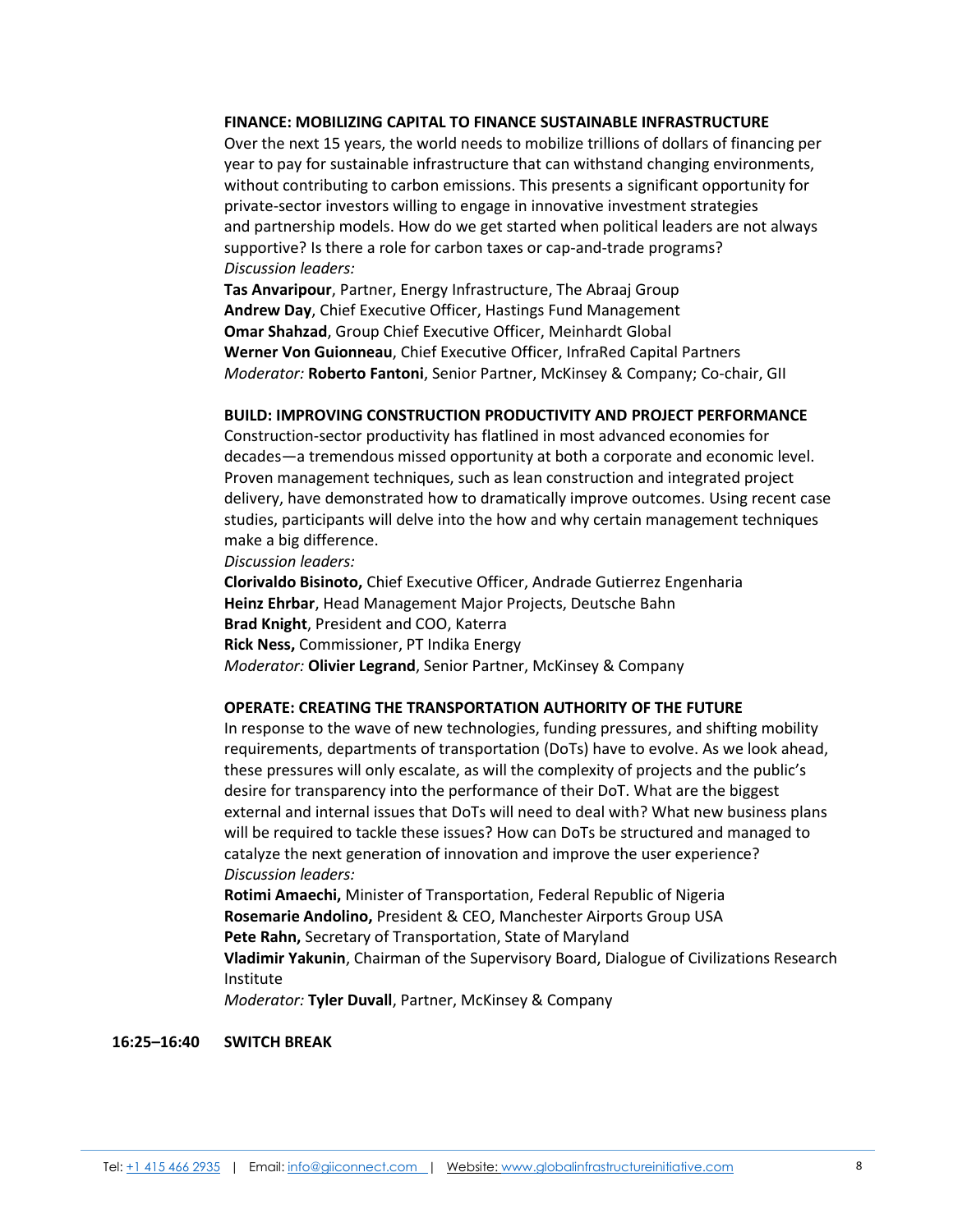#### **FINANCE: MOBILIZING CAPITAL TO FINANCE SUSTAINABLE INFRASTRUCTURE**

Over the next 15 years, the world needs to mobilize trillions of dollars of financing per year to pay for sustainable infrastructure that can withstand changing environments, without contributing to carbon emissions. This presents a significant opportunity for private-sector investors willing to engage in innovative investment strategies and partnership models. How do we get started when political leaders are not always supportive? Is there a role for carbon taxes or cap-and-trade programs? *Discussion leaders:*

**Tas Anvaripour**, Partner, Energy Infrastructure, The Abraaj Group **Andrew Day**, Chief Executive Officer, Hastings Fund Management **Omar Shahzad**, Group Chief Executive Officer, Meinhardt Global **Werner Von Guionneau**, Chief Executive Officer, InfraRed Capital Partners *Moderator:* **Roberto Fantoni**, Senior Partner, McKinsey & Company; Co-chair, GII

#### **BUILD: IMPROVING CONSTRUCTION PRODUCTIVITY AND PROJECT PERFORMANCE**

Construction-sector productivity has flatlined in most advanced economies for decades—a tremendous missed opportunity at both a corporate and economic level. Proven management techniques, such as lean construction and integrated project delivery, have demonstrated how to dramatically improve outcomes. Using recent case studies, participants will delve into the how and why certain management techniques make a big difference.

*Discussion leaders:*

**Clorivaldo Bisinoto,** Chief Executive Officer, Andrade Gutierrez Engenharia **Heinz Ehrbar**, Head Management Major Projects, Deutsche Bahn **Brad Knight**, President and COO, Katerra **Rick Ness,** Commissioner, PT Indika Energy *Moderator:* **Olivier Legrand**, Senior Partner, McKinsey & Company

## **OPERATE: CREATING THE TRANSPORTATION AUTHORITY OF THE FUTURE**

In response to the wave of new technologies, funding pressures, and shifting mobility requirements, departments of transportation (DoTs) have to evolve. As we look ahead, these pressures will only escalate, as will the complexity of projects and the public's desire for transparency into the performance of their DoT. What are the biggest external and internal issues that DoTs will need to deal with? What new business plans will be required to tackle these issues? How can DoTs be structured and managed to catalyze the next generation of innovation and improve the user experience? *Discussion leaders:*

**Rotimi Amaechi,** Minister of Transportation, Federal Republic of Nigeria **Rosemarie Andolino,** President & CEO, Manchester Airports Group USA **Pete Rahn,** Secretary of Transportation, State of Maryland **Vladimir Yakunin**, Chairman of the Supervisory Board, Dialogue of Civilizations Research Institute

*Moderator:* **Tyler Duvall**, Partner, McKinsey & Company

#### **16:25–16:40 SWITCH BREAK**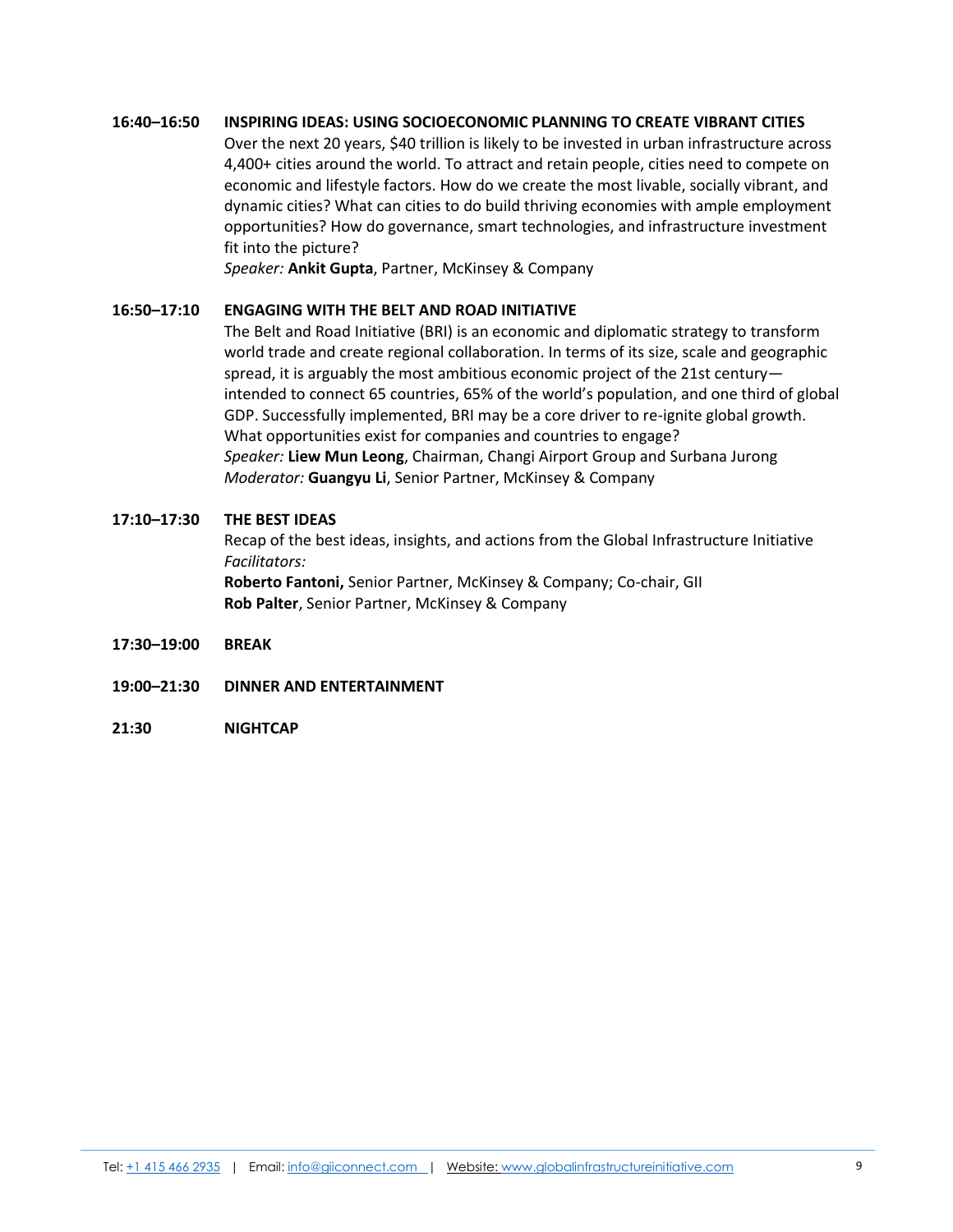# **16:40–16:50 INSPIRING IDEAS: USING SOCIOECONOMIC PLANNING TO CREATE VIBRANT CITIES**

Over the next 20 years, \$40 trillion is likely to be invested in urban infrastructure across 4,400+ cities around the world. To attract and retain people, cities need to compete on economic and lifestyle factors. How do we create the most livable, socially vibrant, and dynamic cities? What can cities to do build thriving economies with ample employment opportunities? How do governance, smart technologies, and infrastructure investment fit into the picture?

*Speaker:* **Ankit Gupta**, Partner, McKinsey & Company

# **16:50–17:10 ENGAGING WITH THE BELT AND ROAD INITIATIVE**

The Belt and Road Initiative (BRI) is an economic and diplomatic strategy to transform world trade and create regional collaboration. In terms of its size, scale and geographic spread, it is arguably the most ambitious economic project of the 21st century intended to connect 65 countries, 65% of the world's population, and one third of global GDP. Successfully implemented, BRI may be a core driver to re-ignite global growth. What opportunities exist for companies and countries to engage? *Speaker:* **Liew Mun Leong**, Chairman, Changi Airport Group and Surbana Jurong *Moderator:* **Guangyu Li**, Senior Partner, McKinsey & Company

#### **17:10–17:30 THE BEST IDEAS**

Recap of the best ideas, insights, and actions from the Global Infrastructure Initiative *Facilitators:*

**Roberto Fantoni,** Senior Partner, McKinsey & Company; Co-chair, GII **Rob Palter**, Senior Partner, McKinsey & Company

- **17:30–19:00 BREAK**
- **19:00–21:30 DINNER AND ENTERTAINMENT**
- **21:30 NIGHTCAP**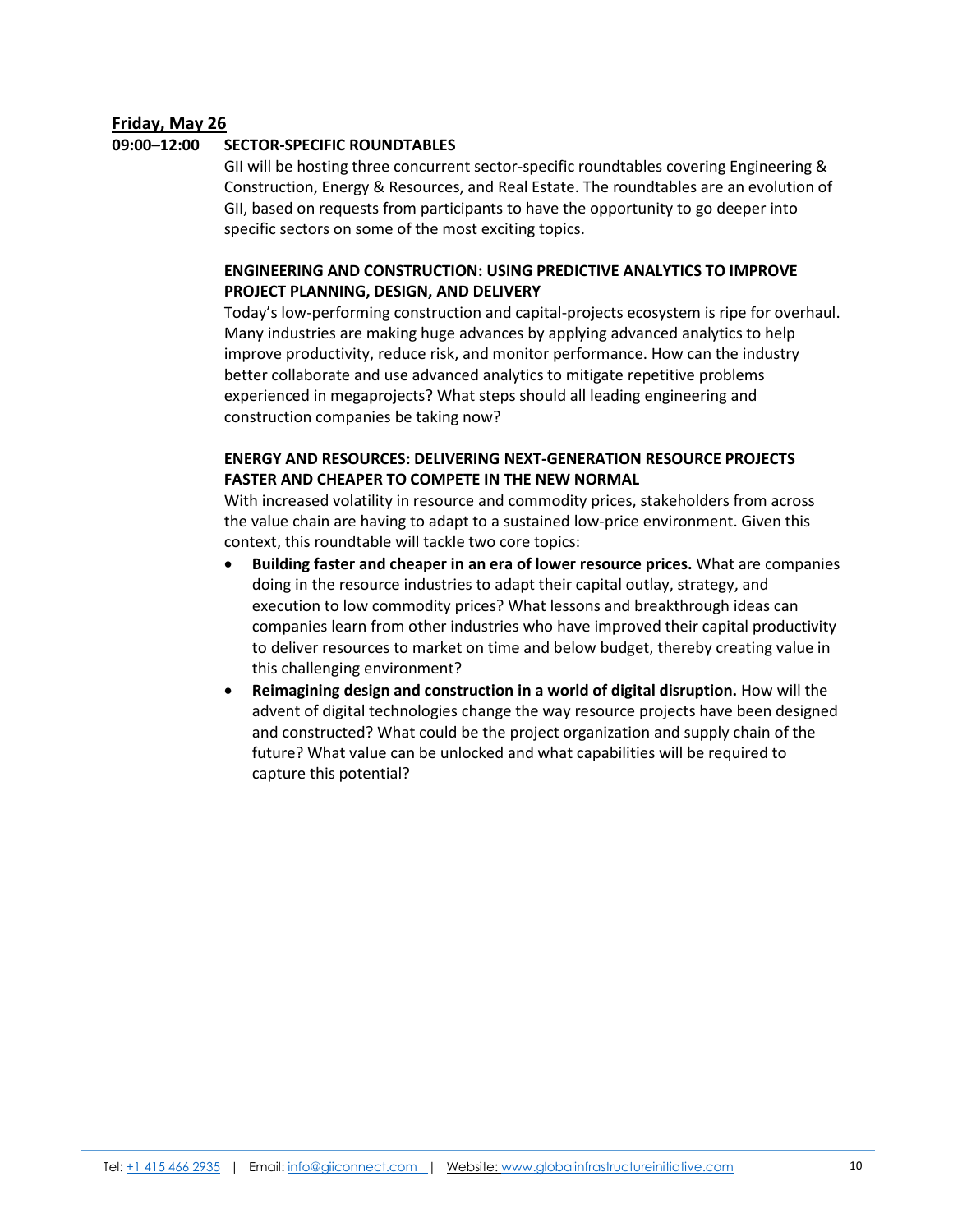# **Friday, May 26**

# **09:00–12:00 SECTOR-SPECIFIC ROUNDTABLES**

GII will be hosting three concurrent sector-specific roundtables covering Engineering & Construction, Energy & Resources, and Real Estate. The roundtables are an evolution of GII, based on requests from participants to have the opportunity to go deeper into specific sectors on some of the most exciting topics.

# **ENGINEERING AND CONSTRUCTION: USING PREDICTIVE ANALYTICS TO IMPROVE PROJECT PLANNING, DESIGN, AND DELIVERY**

Today's low-performing construction and capital-projects ecosystem is ripe for overhaul. Many industries are making huge advances by applying advanced analytics to help improve productivity, reduce risk, and monitor performance. How can the industry better collaborate and use advanced analytics to mitigate repetitive problems experienced in megaprojects? What steps should all leading engineering and construction companies be taking now?

# **ENERGY AND RESOURCES: DELIVERING NEXT-GENERATION RESOURCE PROJECTS FASTER AND CHEAPER TO COMPETE IN THE NEW NORMAL**

With increased volatility in resource and commodity prices, stakeholders from across the value chain are having to adapt to a sustained low-price environment. Given this context, this roundtable will tackle two core topics:

- **Building faster and cheaper in an era of lower resource prices.** What are companies doing in the resource industries to adapt their capital outlay, strategy, and execution to low commodity prices? What lessons and breakthrough ideas can companies learn from other industries who have improved their capital productivity to deliver resources to market on time and below budget, thereby creating value in this challenging environment?
- **Reimagining design and construction in a world of digital disruption.** How will the advent of digital technologies change the way resource projects have been designed and constructed? What could be the project organization and supply chain of the future? What value can be unlocked and what capabilities will be required to capture this potential?